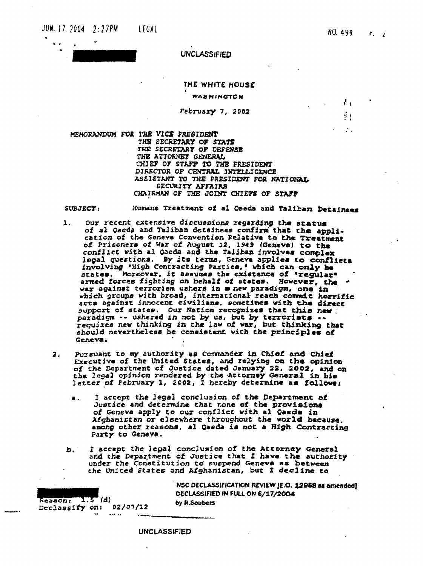$\mathcal{L}_1$ 

ţ.



**UNCLASSIFIED** 

## THE WHITE HOUSE WASHINGTON

February 7, 2002

MEMORANDUM FOR THE VICE PRESIDENT THE SECRETARY OF STATE THE SECRETARY OF DEFENSE THE ATTORNEY GENERAL CHIEF OF STAFF TO THE PRESIDENT DIRECTOR OF CENTRAL INTELLIGENCE ASSISTANT TO THE PRESIDENT FOR NATIONAL SECURITY AFFAIRS CHAIRMAN OF THE JOINT CHIEPS OF STAFF

Humane Treatment of al Qaeda and Taliban Detainees SURJECT:

- Our recent extensive discussions regarding the status  $\mathbf{1}$ . of al Qaeda and Taliban detainees confirm that the application of the Geneva Convention Relative to the Treatment of Prisoners of War of August 12, 1949 (Geneva) to the conflict with al Qaeda and the Taliban involves complex legal questions. By its terms, Geneva applies to conflicta involving 'High Contracting Parties,' which can only be states. Moreover, it assumes the existence of "regular" armed forces fighting on behalf of states. However, the war against terrorism ushers in a new paradigm, one in which groups with broad, international reach commit horrific acts against innocent civilians, sometimes with the direct support of states. Our Nation recognizes that this new!<br>paradigm -- ushered in not by us, but by terrorists --<br>requires new thinking in the law of war, but thinking that should nevertheless be consistent with the principles of Geneva.
- Pursuant to my authority as Commander in Chief and Chief  $\overline{2}$ . Executive of the United States, and relying on the opinion of the Department of Justice dated January 22, 2002, and on<br>the legal opinion rendered by the Attorney General in his<br>letter of February 1, 2002, I hereby determine as follows:
	- I accept the legal conclusion of the Department of a. Justice and determine that none of the provisions of Geneva apply to our conflict with al Qaeda in Afghanistan or elsewhere throughout the world because. among other reasons, al Qaeda is not a High Contracting Party to Geneva.
	- I accept the legal conclusion of the Attorney General<br>and the Department of Justice that I have the authority ь. under the Constitution to suspend Geneva as between the United States and Afghanistan, but I decline to

 $Reason: 1.5(d)$ Declassify on: 02/07/12

 $\cdots$ 

NSC DECLASSIFICATION REVIEW [E.O. 12958 as amended] DECLASSIFIED IN FULL ON 6/17/2004 by R.Soubers

**UNCLASSIFIED**